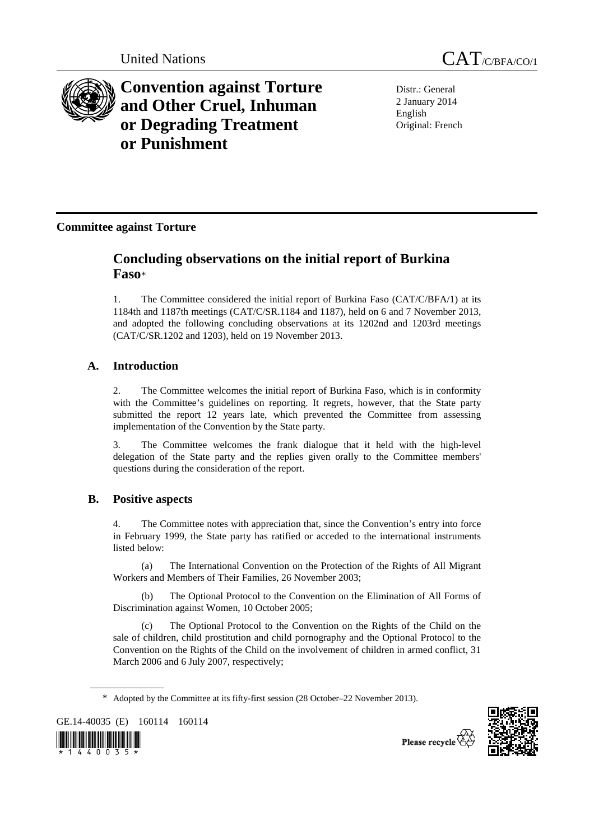



**Convention against Torture and Other Cruel, Inhuman or Degrading Treatment or Punishment**

Distr.: General 2 January 2014 English Original: French

# **Committee against Torture**

# **Concluding observations on the initial report of Burkina Faso**\*

1. The Committee considered the initial report of Burkina Faso (CAT/C/BFA/1) at its 1184th and 1187th meetings (CAT/C/SR.1184 and 1187), held on 6 and 7 November 2013, and adopted the following concluding observations at its 1202nd and 1203rd meetings (CAT/C/SR.1202 and 1203), held on 19 November 2013.

# **A. Introduction**

2. The Committee welcomes the initial report of Burkina Faso, which is in conformity with the Committee's guidelines on reporting. It regrets, however, that the State party submitted the report 12 years late, which prevented the Committee from assessing implementation of the Convention by the State party.

3. The Committee welcomes the frank dialogue that it held with the high-level delegation of the State party and the replies given orally to the Committee members' questions during the consideration of the report.

# **B. Positive aspects**

4. The Committee notes with appreciation that, since the Convention's entry into force in February 1999, the State party has ratified or acceded to the international instruments listed below:

 (a) The International Convention on the Protection of the Rights of All Migrant Workers and Members of Their Families, 26 November 2003;

 (b) The Optional Protocol to the Convention on the Elimination of All Forms of Discrimination against Women, 10 October 2005;

 (c) The Optional Protocol to the Convention on the Rights of the Child on the sale of children, child prostitution and child pornography and the Optional Protocol to the Convention on the Rights of the Child on the involvement of children in armed conflict, 31 March 2006 and 6 July 2007, respectively;

GE.14-40035 (E) 160114 160114





Please recycle

<sup>\*</sup> Adopted by the Committee at its fifty-first session (28 October–22 November 2013).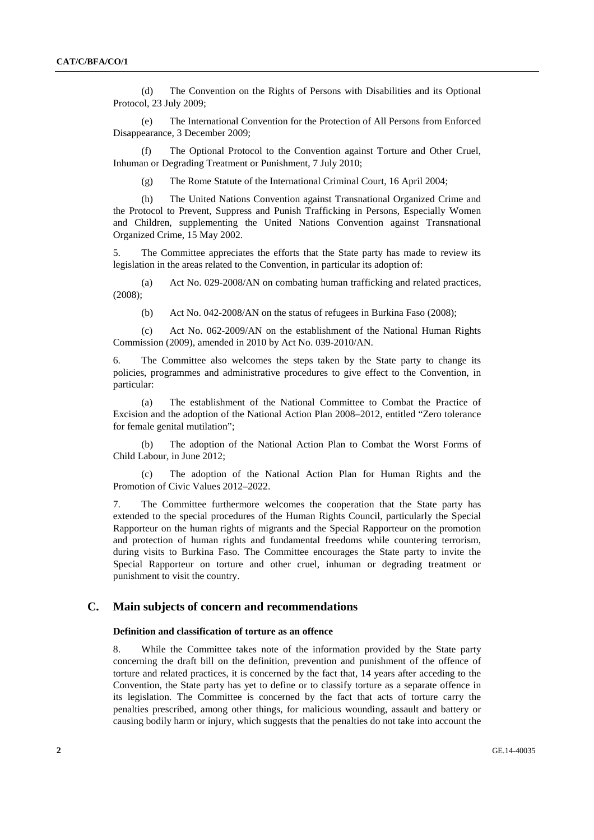(d) The Convention on the Rights of Persons with Disabilities and its Optional Protocol, 23 July 2009;

 (e) The International Convention for the Protection of All Persons from Enforced Disappearance, 3 December 2009;

The Optional Protocol to the Convention against Torture and Other Cruel, Inhuman or Degrading Treatment or Punishment, 7 July 2010;

(g) The Rome Statute of the International Criminal Court, 16 April 2004;

 (h) The United Nations Convention against Transnational Organized Crime and the Protocol to Prevent, Suppress and Punish Trafficking in Persons, Especially Women and Children, supplementing the United Nations Convention against Transnational Organized Crime, 15 May 2002.

5. The Committee appreciates the efforts that the State party has made to review its legislation in the areas related to the Convention, in particular its adoption of:

 (a) Act No. 029-2008/AN on combating human trafficking and related practices, (2008);

(b) Act No. 042-2008/AN on the status of refugees in Burkina Faso (2008);

 (c) Act No. 062-2009/AN on the establishment of the National Human Rights Commission (2009), amended in 2010 by Act No. 039-2010/AN.

6. The Committee also welcomes the steps taken by the State party to change its policies, programmes and administrative procedures to give effect to the Convention, in particular:

 (a) The establishment of the National Committee to Combat the Practice of Excision and the adoption of the National Action Plan 2008–2012, entitled "Zero tolerance for female genital mutilation";

 (b) The adoption of the National Action Plan to Combat the Worst Forms of Child Labour, in June 2012;

 (c) The adoption of the National Action Plan for Human Rights and the Promotion of Civic Values 2012–2022.

7. The Committee furthermore welcomes the cooperation that the State party has extended to the special procedures of the Human Rights Council, particularly the Special Rapporteur on the human rights of migrants and the Special Rapporteur on the promotion and protection of human rights and fundamental freedoms while countering terrorism, during visits to Burkina Faso. The Committee encourages the State party to invite the Special Rapporteur on torture and other cruel, inhuman or degrading treatment or punishment to visit the country.

# **C. Main subjects of concern and recommendations**

## **Definition and classification of torture as an offence**

8. While the Committee takes note of the information provided by the State party concerning the draft bill on the definition, prevention and punishment of the offence of torture and related practices, it is concerned by the fact that, 14 years after acceding to the Convention, the State party has yet to define or to classify torture as a separate offence in its legislation. The Committee is concerned by the fact that acts of torture carry the penalties prescribed, among other things, for malicious wounding, assault and battery or causing bodily harm or injury, which suggests that the penalties do not take into account the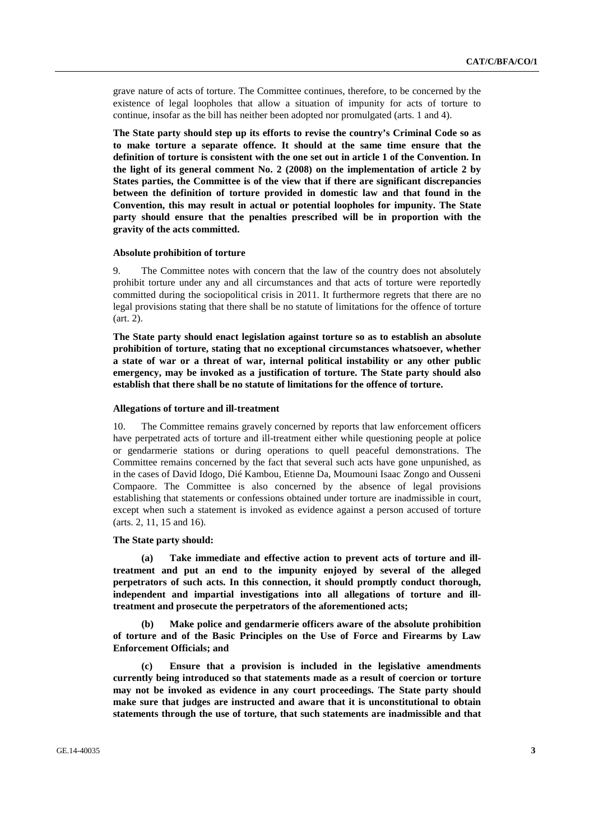grave nature of acts of torture. The Committee continues, therefore, to be concerned by the existence of legal loopholes that allow a situation of impunity for acts of torture to continue, insofar as the bill has neither been adopted nor promulgated (arts. 1 and 4).

**The State party should step up its efforts to revise the country's Criminal Code so as to make torture a separate offence. It should at the same time ensure that the definition of torture is consistent with the one set out in article 1 of the Convention. In the light of its general comment No. 2 (2008) on the implementation of article 2 by States parties, the Committee is of the view that if there are significant discrepancies between the definition of torture provided in domestic law and that found in the Convention, this may result in actual or potential loopholes for impunity. The State party should ensure that the penalties prescribed will be in proportion with the gravity of the acts committed.** 

#### **Absolute prohibition of torture**

9. The Committee notes with concern that the law of the country does not absolutely prohibit torture under any and all circumstances and that acts of torture were reportedly committed during the sociopolitical crisis in 2011. It furthermore regrets that there are no legal provisions stating that there shall be no statute of limitations for the offence of torture (art. 2).

**The State party should enact legislation against torture so as to establish an absolute prohibition of torture, stating that no exceptional circumstances whatsoever, whether a state of war or a threat of war, internal political instability or any other public emergency, may be invoked as a justification of torture. The State party should also establish that there shall be no statute of limitations for the offence of torture.** 

#### **Allegations of torture and ill-treatment**

10. The Committee remains gravely concerned by reports that law enforcement officers have perpetrated acts of torture and ill-treatment either while questioning people at police or gendarmerie stations or during operations to quell peaceful demonstrations. The Committee remains concerned by the fact that several such acts have gone unpunished, as in the cases of David Idogo, Dié Kambou, Etienne Da, Moumouni Isaac Zongo and Ousseni Compaore. The Committee is also concerned by the absence of legal provisions establishing that statements or confessions obtained under torture are inadmissible in court, except when such a statement is invoked as evidence against a person accused of torture (arts. 2, 11, 15 and 16).

#### **The State party should:**

 **(a) Take immediate and effective action to prevent acts of torture and illtreatment and put an end to the impunity enjoyed by several of the alleged perpetrators of such acts. In this connection, it should promptly conduct thorough, independent and impartial investigations into all allegations of torture and illtreatment and prosecute the perpetrators of the aforementioned acts;** 

 **(b) Make police and gendarmerie officers aware of the absolute prohibition of torture and of the Basic Principles on the Use of Force and Firearms by Law Enforcement Officials; and** 

 **(c) Ensure that a provision is included in the legislative amendments currently being introduced so that statements made as a result of coercion or torture may not be invoked as evidence in any court proceedings. The State party should make sure that judges are instructed and aware that it is unconstitutional to obtain statements through the use of torture, that such statements are inadmissible and that**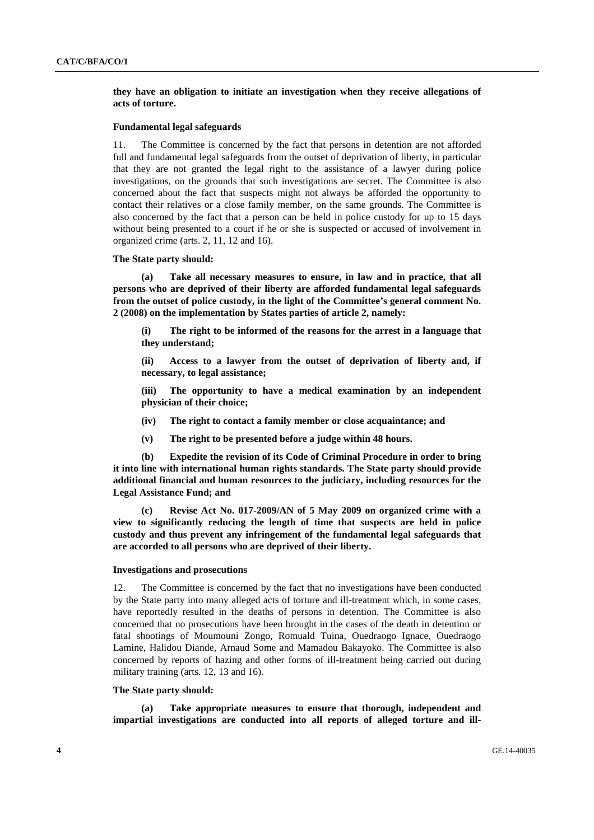## **they have an obligation to initiate an investigation when they receive allegations of acts of torture.**

## **Fundamental legal safeguards**

11. The Committee is concerned by the fact that persons in detention are not afforded full and fundamental legal safeguards from the outset of deprivation of liberty, in particular that they are not granted the legal right to the assistance of a lawyer during police investigations, on the grounds that such investigations are secret. The Committee is also concerned about the fact that suspects might not always be afforded the opportunity to contact their relatives or a close family member, on the same grounds. The Committee is also concerned by the fact that a person can be held in police custody for up to 15 days without being presented to a court if he or she is suspected or accused of involvement in organized crime (arts. 2, 11, 12 and 16).

## **The State party should:**

 **(a) Take all necessary measures to ensure, in law and in practice, that all persons who are deprived of their liberty are afforded fundamental legal safeguards from the outset of police custody, in the light of the Committee's general comment No. 2 (2008) on the implementation by States parties of article 2, namely:** 

**(i) The right to be informed of the reasons for the arrest in a language that they understand;** 

**(ii) Access to a lawyer from the outset of deprivation of liberty and, if necessary, to legal assistance;** 

**(iii) The opportunity to have a medical examination by an independent physician of their choice;** 

**(iv) The right to contact a family member or close acquaintance; and** 

**(v) The right to be presented before a judge within 48 hours.** 

 **(b) Expedite the revision of its Code of Criminal Procedure in order to bring it into line with international human rights standards. The State party should provide additional financial and human resources to the judiciary, including resources for the Legal Assistance Fund; and** 

 **(c) Revise Act No. 017-2009/AN of 5 May 2009 on organized crime with a view to significantly reducing the length of time that suspects are held in police custody and thus prevent any infringement of the fundamental legal safeguards that are accorded to all persons who are deprived of their liberty.** 

#### **Investigations and prosecutions**

12. The Committee is concerned by the fact that no investigations have been conducted by the State party into many alleged acts of torture and ill-treatment which, in some cases, have reportedly resulted in the deaths of persons in detention. The Committee is also concerned that no prosecutions have been brought in the cases of the death in detention or fatal shootings of Moumouni Zongo, Romuald Tuina, Ouedraogo Ignace, Ouedraogo Lamine, Halidou Diande, Arnaud Some and Mamadou Bakayoko. The Committee is also concerned by reports of hazing and other forms of ill-treatment being carried out during military training (arts. 12, 13 and 16).

#### **The State party should:**

 **(a) Take appropriate measures to ensure that thorough, independent and impartial investigations are conducted into all reports of alleged torture and ill-**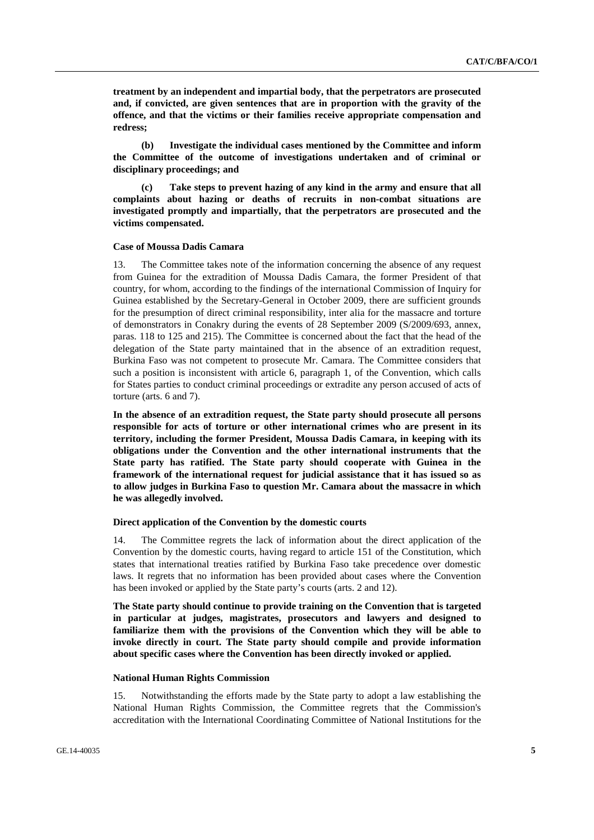**treatment by an independent and impartial body, that the perpetrators are prosecuted and, if convicted, are given sentences that are in proportion with the gravity of the offence, and that the victims or their families receive appropriate compensation and redress;** 

 **(b) Investigate the individual cases mentioned by the Committee and inform the Committee of the outcome of investigations undertaken and of criminal or disciplinary proceedings; and** 

 **(c) Take steps to prevent hazing of any kind in the army and ensure that all complaints about hazing or deaths of recruits in non-combat situations are investigated promptly and impartially, that the perpetrators are prosecuted and the victims compensated.** 

## **Case of Moussa Dadis Camara**

13. The Committee takes note of the information concerning the absence of any request from Guinea for the extradition of Moussa Dadis Camara, the former President of that country, for whom, according to the findings of the international Commission of Inquiry for Guinea established by the Secretary-General in October 2009, there are sufficient grounds for the presumption of direct criminal responsibility, inter alia for the massacre and torture of demonstrators in Conakry during the events of 28 September 2009 (S/2009/693, annex, paras. 118 to 125 and 215). The Committee is concerned about the fact that the head of the delegation of the State party maintained that in the absence of an extradition request, Burkina Faso was not competent to prosecute Mr. Camara. The Committee considers that such a position is inconsistent with article 6, paragraph 1, of the Convention, which calls for States parties to conduct criminal proceedings or extradite any person accused of acts of torture (arts. 6 and 7).

**In the absence of an extradition request, the State party should prosecute all persons responsible for acts of torture or other international crimes who are present in its territory, including the former President, Moussa Dadis Camara, in keeping with its obligations under the Convention and the other international instruments that the State party has ratified. The State party should cooperate with Guinea in the framework of the international request for judicial assistance that it has issued so as to allow judges in Burkina Faso to question Mr. Camara about the massacre in which he was allegedly involved.** 

## **Direct application of the Convention by the domestic courts**

14. The Committee regrets the lack of information about the direct application of the Convention by the domestic courts, having regard to article 151 of the Constitution, which states that international treaties ratified by Burkina Faso take precedence over domestic laws. It regrets that no information has been provided about cases where the Convention has been invoked or applied by the State party's courts (arts. 2 and 12).

**The State party should continue to provide training on the Convention that is targeted in particular at judges, magistrates, prosecutors and lawyers and designed to familiarize them with the provisions of the Convention which they will be able to invoke directly in court. The State party should compile and provide information about specific cases where the Convention has been directly invoked or applied.** 

#### **National Human Rights Commission**

15. Notwithstanding the efforts made by the State party to adopt a law establishing the National Human Rights Commission, the Committee regrets that the Commission's accreditation with the International Coordinating Committee of National Institutions for the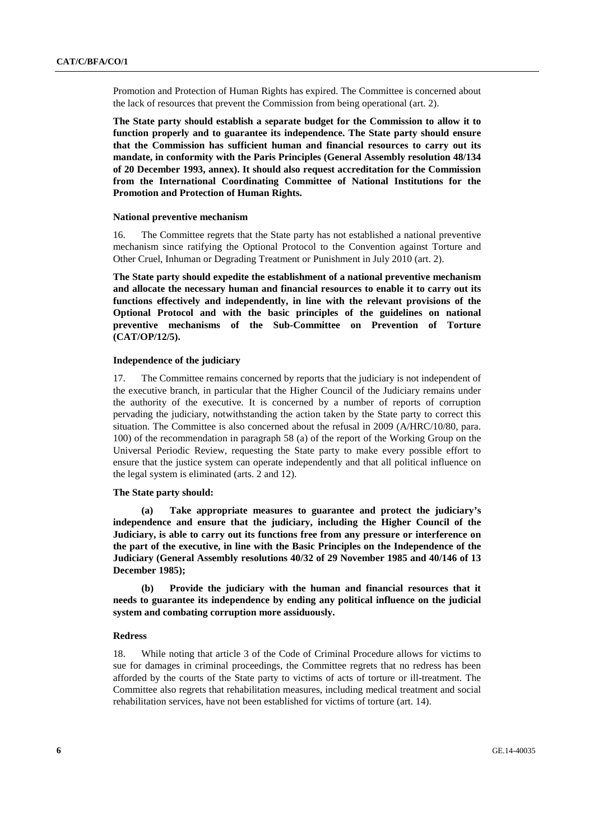Promotion and Protection of Human Rights has expired. The Committee is concerned about the lack of resources that prevent the Commission from being operational (art. 2).

**The State party should establish a separate budget for the Commission to allow it to function properly and to guarantee its independence. The State party should ensure that the Commission has sufficient human and financial resources to carry out its mandate, in conformity with the Paris Principles (General Assembly resolution 48/134 of 20 December 1993, annex). It should also request accreditation for the Commission from the International Coordinating Committee of National Institutions for the Promotion and Protection of Human Rights.** 

#### **National preventive mechanism**

16. The Committee regrets that the State party has not established a national preventive mechanism since ratifying the Optional Protocol to the Convention against Torture and Other Cruel, Inhuman or Degrading Treatment or Punishment in July 2010 (art. 2).

**The State party should expedite the establishment of a national preventive mechanism and allocate the necessary human and financial resources to enable it to carry out its functions effectively and independently, in line with the relevant provisions of the Optional Protocol and with the basic principles of the guidelines on national preventive mechanisms of the Sub-Committee on Prevention of Torture (CAT/OP/12/5).** 

#### **Independence of the judiciary**

17. The Committee remains concerned by reports that the judiciary is not independent of the executive branch, in particular that the Higher Council of the Judiciary remains under the authority of the executive. It is concerned by a number of reports of corruption pervading the judiciary, notwithstanding the action taken by the State party to correct this situation. The Committee is also concerned about the refusal in 2009 (A/HRC/10/80, para. 100) of the recommendation in paragraph 58 (a) of the report of the Working Group on the Universal Periodic Review, requesting the State party to make every possible effort to ensure that the justice system can operate independently and that all political influence on the legal system is eliminated (arts. 2 and 12).

## **The State party should:**

 **(a) Take appropriate measures to guarantee and protect the judiciary's independence and ensure that the judiciary, including the Higher Council of the Judiciary, is able to carry out its functions free from any pressure or interference on the part of the executive, in line with the Basic Principles on the Independence of the Judiciary (General Assembly resolutions 40/32 of 29 November 1985 and 40/146 of 13 December 1985);** 

 **(b) Provide the judiciary with the human and financial resources that it needs to guarantee its independence by ending any political influence on the judicial system and combating corruption more assiduously.** 

#### **Redress**

18. While noting that article 3 of the Code of Criminal Procedure allows for victims to sue for damages in criminal proceedings, the Committee regrets that no redress has been afforded by the courts of the State party to victims of acts of torture or ill-treatment. The Committee also regrets that rehabilitation measures, including medical treatment and social rehabilitation services, have not been established for victims of torture (art. 14).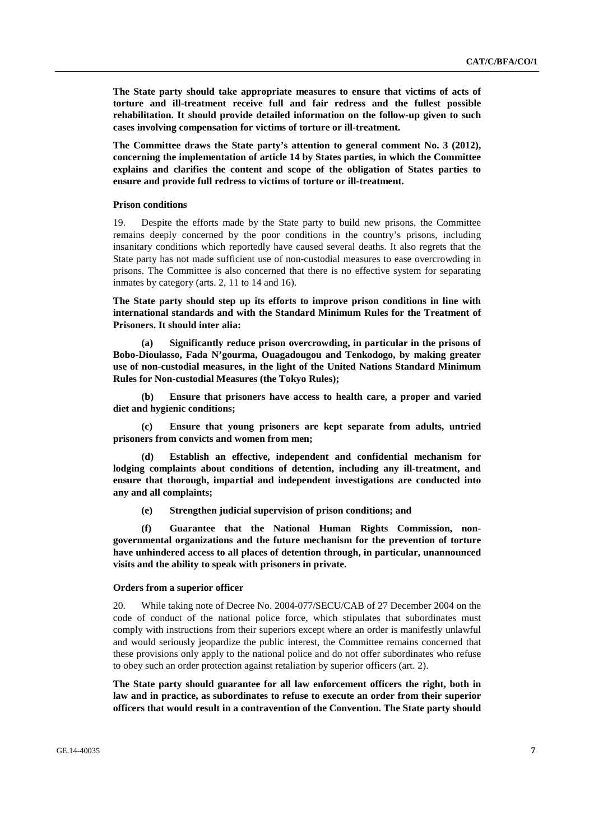**The State party should take appropriate measures to ensure that victims of acts of torture and ill-treatment receive full and fair redress and the fullest possible rehabilitation. It should provide detailed information on the follow-up given to such cases involving compensation for victims of torture or ill-treatment.** 

**The Committee draws the State party's attention to general comment No. 3 (2012), concerning the implementation of article 14 by States parties, in which the Committee explains and clarifies the content and scope of the obligation of States parties to ensure and provide full redress to victims of torture or ill-treatment.** 

## **Prison conditions**

19. Despite the efforts made by the State party to build new prisons, the Committee remains deeply concerned by the poor conditions in the country's prisons, including insanitary conditions which reportedly have caused several deaths. It also regrets that the State party has not made sufficient use of non-custodial measures to ease overcrowding in prisons. The Committee is also concerned that there is no effective system for separating inmates by category (arts. 2, 11 to 14 and 16).

**The State party should step up its efforts to improve prison conditions in line with international standards and with the Standard Minimum Rules for the Treatment of Prisoners. It should inter alia:** 

 **(a) Significantly reduce prison overcrowding, in particular in the prisons of Bobo-Dioulasso, Fada N'gourma, Ouagadougou and Tenkodogo, by making greater use of non-custodial measures, in the light of the United Nations Standard Minimum Rules for Non-custodial Measures (the Tokyo Rules);** 

 **(b) Ensure that prisoners have access to health care, a proper and varied diet and hygienic conditions;** 

 **(c) Ensure that young prisoners are kept separate from adults, untried prisoners from convicts and women from men;** 

**Establish an effective, independent and confidential mechanism for lodging complaints about conditions of detention, including any ill-treatment, and ensure that thorough, impartial and independent investigations are conducted into any and all complaints;** 

 **(e) Strengthen judicial supervision of prison conditions; and** 

 **(f) Guarantee that the National Human Rights Commission, nongovernmental organizations and the future mechanism for the prevention of torture have unhindered access to all places of detention through, in particular, unannounced visits and the ability to speak with prisoners in private.** 

## **Orders from a superior officer**

20. While taking note of Decree No. 2004-077/SECU/CAB of 27 December 2004 on the code of conduct of the national police force, which stipulates that subordinates must comply with instructions from their superiors except where an order is manifestly unlawful and would seriously jeopardize the public interest, the Committee remains concerned that these provisions only apply to the national police and do not offer subordinates who refuse to obey such an order protection against retaliation by superior officers (art. 2).

**The State party should guarantee for all law enforcement officers the right, both in law and in practice, as subordinates to refuse to execute an order from their superior officers that would result in a contravention of the Convention. The State party should**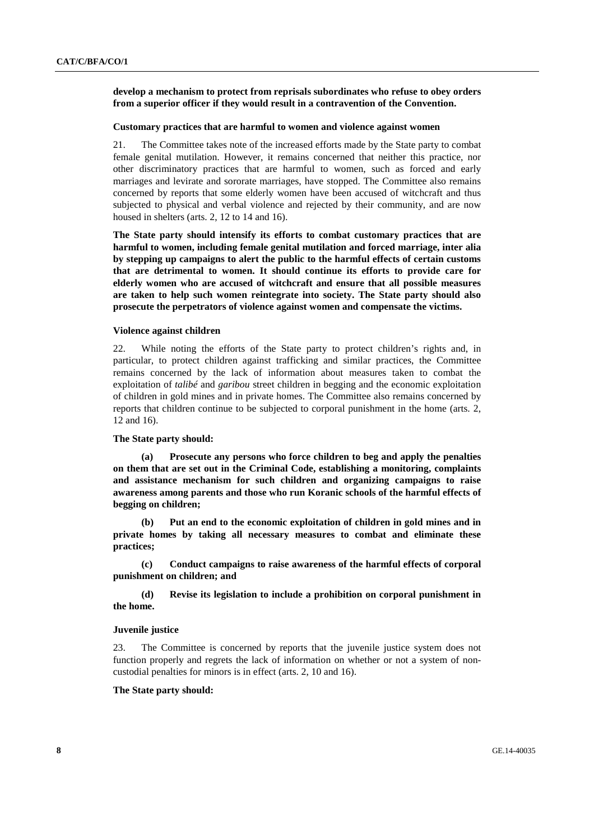## **develop a mechanism to protect from reprisals subordinates who refuse to obey orders from a superior officer if they would result in a contravention of the Convention.**

#### **Customary practices that are harmful to women and violence against women**

21. The Committee takes note of the increased efforts made by the State party to combat female genital mutilation. However, it remains concerned that neither this practice, nor other discriminatory practices that are harmful to women, such as forced and early marriages and levirate and sororate marriages, have stopped. The Committee also remains concerned by reports that some elderly women have been accused of witchcraft and thus subjected to physical and verbal violence and rejected by their community, and are now housed in shelters (arts. 2, 12 to 14 and 16).

**The State party should intensify its efforts to combat customary practices that are harmful to women, including female genital mutilation and forced marriage, inter alia by stepping up campaigns to alert the public to the harmful effects of certain customs that are detrimental to women. It should continue its efforts to provide care for elderly women who are accused of witchcraft and ensure that all possible measures are taken to help such women reintegrate into society. The State party should also prosecute the perpetrators of violence against women and compensate the victims.** 

### **Violence against children**

22. While noting the efforts of the State party to protect children's rights and, in particular, to protect children against trafficking and similar practices, the Committee remains concerned by the lack of information about measures taken to combat the exploitation of *talibé* and *garibou* street children in begging and the economic exploitation of children in gold mines and in private homes. The Committee also remains concerned by reports that children continue to be subjected to corporal punishment in the home (arts. 2, 12 and 16).

#### **The State party should:**

 **(a) Prosecute any persons who force children to beg and apply the penalties on them that are set out in the Criminal Code, establishing a monitoring, complaints and assistance mechanism for such children and organizing campaigns to raise awareness among parents and those who run Koranic schools of the harmful effects of begging on children;** 

 **(b) Put an end to the economic exploitation of children in gold mines and in private homes by taking all necessary measures to combat and eliminate these practices;** 

 **(c) Conduct campaigns to raise awareness of the harmful effects of corporal punishment on children; and** 

 **(d) Revise its legislation to include a prohibition on corporal punishment in the home.** 

## **Juvenile justice**

23. The Committee is concerned by reports that the juvenile justice system does not function properly and regrets the lack of information on whether or not a system of noncustodial penalties for minors is in effect (arts. 2, 10 and 16).

#### **The State party should:**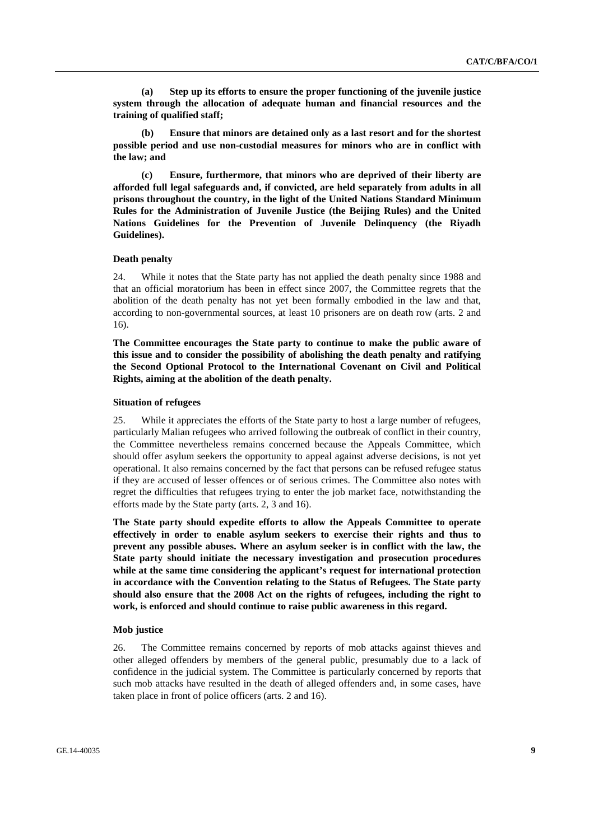**(a) Step up its efforts to ensure the proper functioning of the juvenile justice system through the allocation of adequate human and financial resources and the training of qualified staff;** 

 **(b) Ensure that minors are detained only as a last resort and for the shortest possible period and use non-custodial measures for minors who are in conflict with the law; and** 

 **(c) Ensure, furthermore, that minors who are deprived of their liberty are afforded full legal safeguards and, if convicted, are held separately from adults in all prisons throughout the country, in the light of the United Nations Standard Minimum Rules for the Administration of Juvenile Justice (the Beijing Rules) and the United Nations Guidelines for the Prevention of Juvenile Delinquency (the Riyadh Guidelines).** 

## **Death penalty**

24. While it notes that the State party has not applied the death penalty since 1988 and that an official moratorium has been in effect since 2007, the Committee regrets that the abolition of the death penalty has not yet been formally embodied in the law and that, according to non-governmental sources, at least 10 prisoners are on death row (arts. 2 and 16).

**The Committee encourages the State party to continue to make the public aware of this issue and to consider the possibility of abolishing the death penalty and ratifying the Second Optional Protocol to the International Covenant on Civil and Political Rights, aiming at the abolition of the death penalty.** 

#### **Situation of refugees**

25. While it appreciates the efforts of the State party to host a large number of refugees, particularly Malian refugees who arrived following the outbreak of conflict in their country, the Committee nevertheless remains concerned because the Appeals Committee, which should offer asylum seekers the opportunity to appeal against adverse decisions, is not yet operational. It also remains concerned by the fact that persons can be refused refugee status if they are accused of lesser offences or of serious crimes. The Committee also notes with regret the difficulties that refugees trying to enter the job market face, notwithstanding the efforts made by the State party (arts. 2, 3 and 16).

**The State party should expedite efforts to allow the Appeals Committee to operate effectively in order to enable asylum seekers to exercise their rights and thus to prevent any possible abuses. Where an asylum seeker is in conflict with the law, the State party should initiate the necessary investigation and prosecution procedures while at the same time considering the applicant's request for international protection in accordance with the Convention relating to the Status of Refugees. The State party should also ensure that the 2008 Act on the rights of refugees, including the right to work, is enforced and should continue to raise public awareness in this regard.** 

## **Mob justice**

26. The Committee remains concerned by reports of mob attacks against thieves and other alleged offenders by members of the general public, presumably due to a lack of confidence in the judicial system. The Committee is particularly concerned by reports that such mob attacks have resulted in the death of alleged offenders and, in some cases, have taken place in front of police officers (arts. 2 and 16).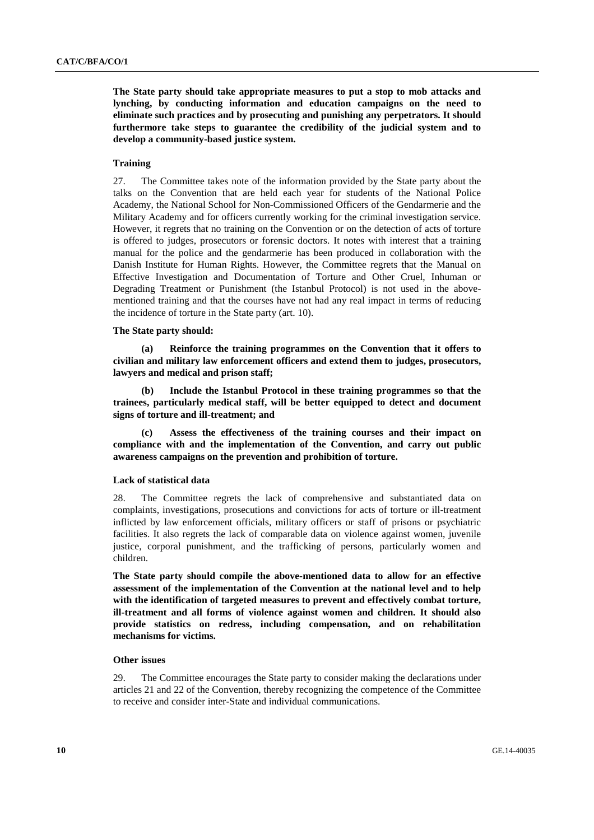**The State party should take appropriate measures to put a stop to mob attacks and lynching, by conducting information and education campaigns on the need to eliminate such practices and by prosecuting and punishing any perpetrators. It should furthermore take steps to guarantee the credibility of the judicial system and to develop a community-based justice system.** 

## **Training**

27. The Committee takes note of the information provided by the State party about the talks on the Convention that are held each year for students of the National Police Academy, the National School for Non-Commissioned Officers of the Gendarmerie and the Military Academy and for officers currently working for the criminal investigation service. However, it regrets that no training on the Convention or on the detection of acts of torture is offered to judges, prosecutors or forensic doctors. It notes with interest that a training manual for the police and the gendarmerie has been produced in collaboration with the Danish Institute for Human Rights. However, the Committee regrets that the Manual on Effective Investigation and Documentation of Torture and Other Cruel, Inhuman or Degrading Treatment or Punishment (the Istanbul Protocol) is not used in the abovementioned training and that the courses have not had any real impact in terms of reducing the incidence of torture in the State party (art. 10).

## **The State party should:**

 **(a) Reinforce the training programmes on the Convention that it offers to civilian and military law enforcement officers and extend them to judges, prosecutors, lawyers and medical and prison staff;** 

 **(b) Include the Istanbul Protocol in these training programmes so that the trainees, particularly medical staff, will be better equipped to detect and document signs of torture and ill-treatment; and** 

 **(c) Assess the effectiveness of the training courses and their impact on compliance with and the implementation of the Convention, and carry out public awareness campaigns on the prevention and prohibition of torture.** 

## **Lack of statistical data**

28. The Committee regrets the lack of comprehensive and substantiated data on complaints, investigations, prosecutions and convictions for acts of torture or ill-treatment inflicted by law enforcement officials, military officers or staff of prisons or psychiatric facilities. It also regrets the lack of comparable data on violence against women, juvenile justice, corporal punishment, and the trafficking of persons, particularly women and children.

**The State party should compile the above-mentioned data to allow for an effective assessment of the implementation of the Convention at the national level and to help with the identification of targeted measures to prevent and effectively combat torture, ill-treatment and all forms of violence against women and children. It should also provide statistics on redress, including compensation, and on rehabilitation mechanisms for victims.** 

### **Other issues**

29. The Committee encourages the State party to consider making the declarations under articles 21 and 22 of the Convention, thereby recognizing the competence of the Committee to receive and consider inter-State and individual communications.